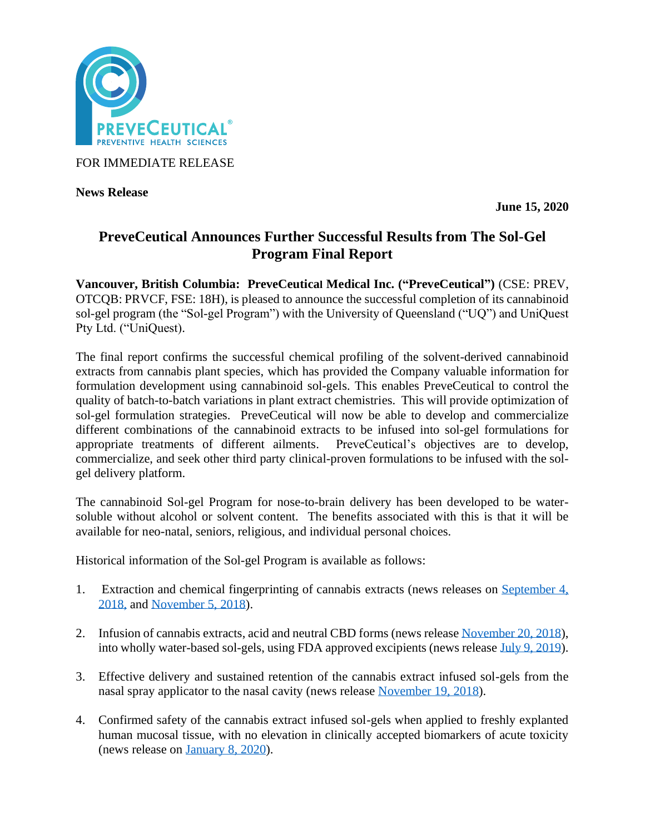

FOR IMMEDIATE RELEASE

**News Release** 

**June 15, 2020**

# **PreveCeutical Announces Further Successful Results from The Sol-Gel Program Final Report**

**Vancouver, British Columbia: PreveCeutical Medical Inc. ("PreveCeutical")** (CSE: PREV, OTCQB: PRVCF, FSE: 18H), is pleased to announce the successful completion of its cannabinoid sol-gel program (the "Sol-gel Program") with the University of Queensland ("UQ") and UniQuest Pty Ltd. ("UniQuest).

The final report confirms the successful chemical profiling of the solvent-derived cannabinoid extracts from cannabis plant species, which has provided the Company valuable information for formulation development using cannabinoid sol-gels. This enables PreveCeutical to control the quality of batch-to-batch variations in plant extract chemistries. This will provide optimization of sol-gel formulation strategies. PreveCeutical will now be able to develop and commercialize different combinations of the cannabinoid extracts to be infused into sol-gel formulations for appropriate treatments of different ailments. PreveCeutical's objectives are to develop, commercialize, and seek other third party clinical-proven formulations to be infused with the solgel delivery platform.

The cannabinoid Sol-gel Program for nose-to-brain delivery has been developed to be watersoluble without alcohol or solvent content. The benefits associated with this is that it will be available for neo-natal, seniors, religious, and individual personal choices.

Historical information of the Sol-gel Program is available as follows:

- 1. Extraction and chemical fingerprinting of cannabis extracts (news releases on September 4, [2018,](https://www.preveceutical.com/investors/news/preveceutical-develops-proprietary-extraction-protocol-for-medical-cannabinoids-to-be-used-with-the-sol-gel-drug-delivery-program) and [November 5, 2018\)](https://www.preveceutical.com/investors/news/preveceutical-applies-its-proprietary-extraction-protocol-for-medical-cannabinoids-to-two-additional-cannabis-strains).
- 2. Infusion of cannabis extracts, acid and neutral CBD forms (news release [November 20, 2018\)](https://www.preveceutical.com/investors/news/preveceutical-converts-acidic-phytocannabinoids-to-neutral-form-and--doubles-contents-of-fingerprinted-cannabis-extract-library-), into wholly water-based sol-gels, using FDA approved excipients (news release [July 9, 2019\)](https://www.preveceutical.com/investors/news/preveceutical-successfully-incorporates-medicinal-cannabis-extracts-into-the-sol-gel-drug-delivery-system-).
- 3. Effective delivery and sustained retention of the cannabis extract infused sol-gels from the nasal spray applicator to the nasal cavity (news release [November 19, 2018\)](https://www.preveceutical.com/investors/news/preveceutical-confirms-encouraging-results-from-sol-gel-applicator-trials-for-achieving-direct-nose-to-brain-delivery-in-an-adult-human-nasal-cast).
- 4. Confirmed safety of the cannabis extract infused sol-gels when applied to freshly explanted human mucosal tissue, with no elevation in clinically accepted biomarkers of acute toxicity (news release on [January 8, 2020\)](https://www.preveceutical.com/investors/news/preveceutical-announces-positive-results-following-a-preliminary-safety-evaluation-of-sol-gel-formulations-when-applied-to-human-nasal-tissue).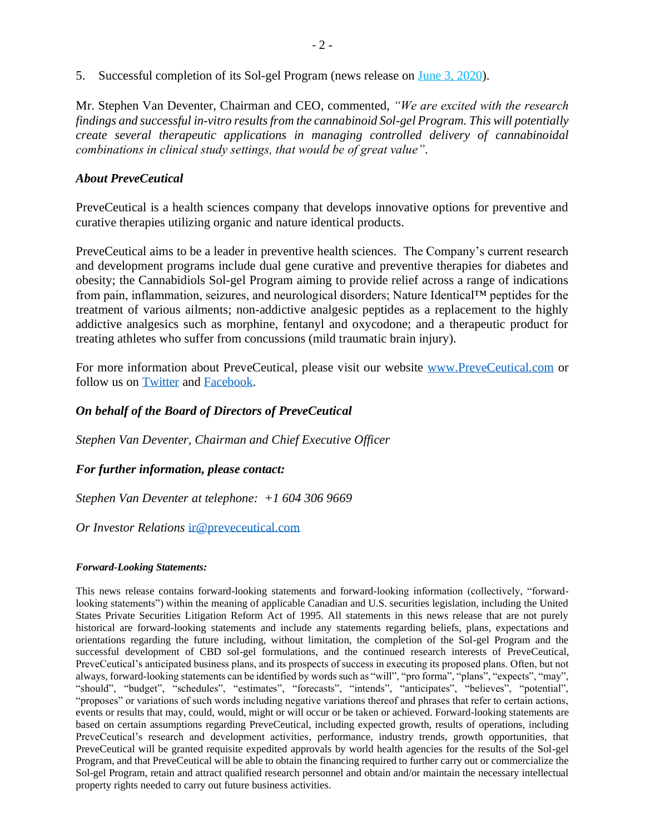5. Successful completion of its Sol-gel Program (news release on [June 3, 2020\)](https://www.preveceutical.com/investors/news/preveceutical-announces-successful-completion-of-its-sol-gel-program).

Mr. Stephen Van Deventer, Chairman and CEO, commented, *"We are excited with the research findings and successful in-vitro results from the cannabinoid Sol-gel Program. This will potentially create several therapeutic applications in managing controlled delivery of cannabinoidal combinations in clinical study settings, that would be of great value".*

## *About PreveCeutical*

PreveCeutical is a health sciences company that develops innovative options for preventive and curative therapies utilizing organic and nature identical products.

PreveCeutical aims to be a leader in preventive health sciences. The Company's current research and development programs include dual gene curative and preventive therapies for diabetes and obesity; the Cannabidiols Sol-gel Program aiming to provide relief across a range of indications from pain, inflammation, seizures, and neurological disorders; Nature Identical™ peptides for the treatment of various ailments; non-addictive analgesic peptides as a replacement to the highly addictive analgesics such as morphine, fentanyl and oxycodone; and a therapeutic product for treating athletes who suffer from concussions (mild traumatic brain injury).

For more information about PreveCeutical, please visit our website [www.PreveCeutical.com](http://www.preveceutical.com/) or follow us on [Twitter](http://twitter.com/PreveCeuticals) and [Facebook.](http://www.facebook.com/PreveCeutical)

# *On behalf of the Board of Directors of PreveCeutical*

*Stephen Van Deventer, Chairman and Chief Executive Officer*

### *For further information, please contact:*

*Stephen Van Deventer at telephone: +1 604 306 9669*

*Or Investor Relations* [ir@preveceutical.com](mailto:ir@preveceutical.com)

#### *Forward-Looking Statements:*

This news release contains forward-looking statements and forward-looking information (collectively, "forwardlooking statements") within the meaning of applicable Canadian and U.S. securities legislation, including the United States Private Securities Litigation Reform Act of 1995. All statements in this news release that are not purely historical are forward-looking statements and include any statements regarding beliefs, plans, expectations and orientations regarding the future including, without limitation, the completion of the Sol-gel Program and the successful development of CBD sol-gel formulations, and the continued research interests of PreveCeutical, PreveCeutical's anticipated business plans, and its prospects of success in executing its proposed plans. Often, but not always, forward-looking statements can be identified by words such as "will", "pro forma", "plans", "expects", "may", "should", "budget", "schedules", "estimates", "forecasts", "intends", "anticipates", "believes", "potential", "proposes" or variations of such words including negative variations thereof and phrases that refer to certain actions, events or results that may, could, would, might or will occur or be taken or achieved. Forward-looking statements are based on certain assumptions regarding PreveCeutical, including expected growth, results of operations, including PreveCeutical's research and development activities, performance, industry trends, growth opportunities, that PreveCeutical will be granted requisite expedited approvals by world health agencies for the results of the Sol-gel Program, and that PreveCeutical will be able to obtain the financing required to further carry out or commercialize the Sol-gel Program, retain and attract qualified research personnel and obtain and/or maintain the necessary intellectual property rights needed to carry out future business activities.